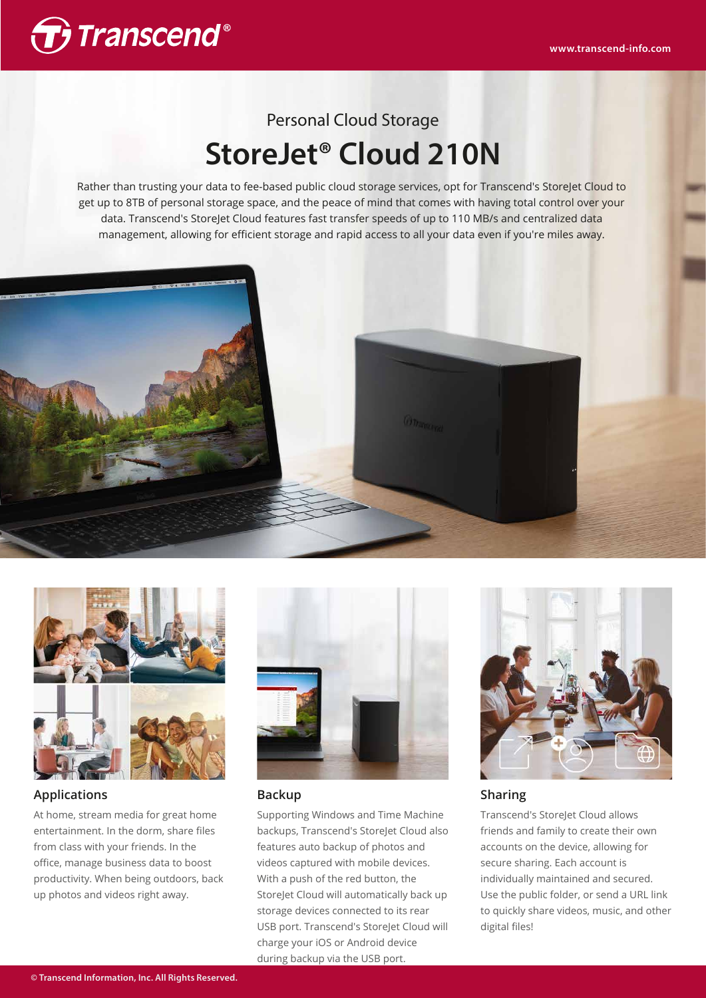

# Personal Cloud Storage **StoreJet® Cloud 210N**

Rather than trusting your data to fee-based public cloud storage services, opt for Transcend's StoreJet Cloud to get up to 8TB of personal storage space, and the peace of mind that comes with having total control over your data. Transcend's StoreJet Cloud features fast transfer speeds of up to 110 MB/s and centralized data management, allowing for efficient storage and rapid access to all your data even if you're miles away.





## **Applications**

At home, stream media for great home entertainment. In the dorm, share files from class with your friends. In the office, manage business data to boost productivity. When being outdoors, back up photos and videos right away.



### **Backup**

Supporting Windows and Time Machine backups, Transcend's StoreJet Cloud also features auto backup of photos and videos captured with mobile devices. With a push of the red button, the StoreJet Cloud will automatically back up storage devices connected to its rear USB port. Transcend's StoreJet Cloud will charge your iOS or Android device during backup via the USB port.



### **Sharing**

Transcend's StoreJet Cloud allows friends and family to create their own accounts on the device, allowing for secure sharing. Each account is individually maintained and secured. Use the public folder, or send a URL link to quickly share videos, music, and other digital files!